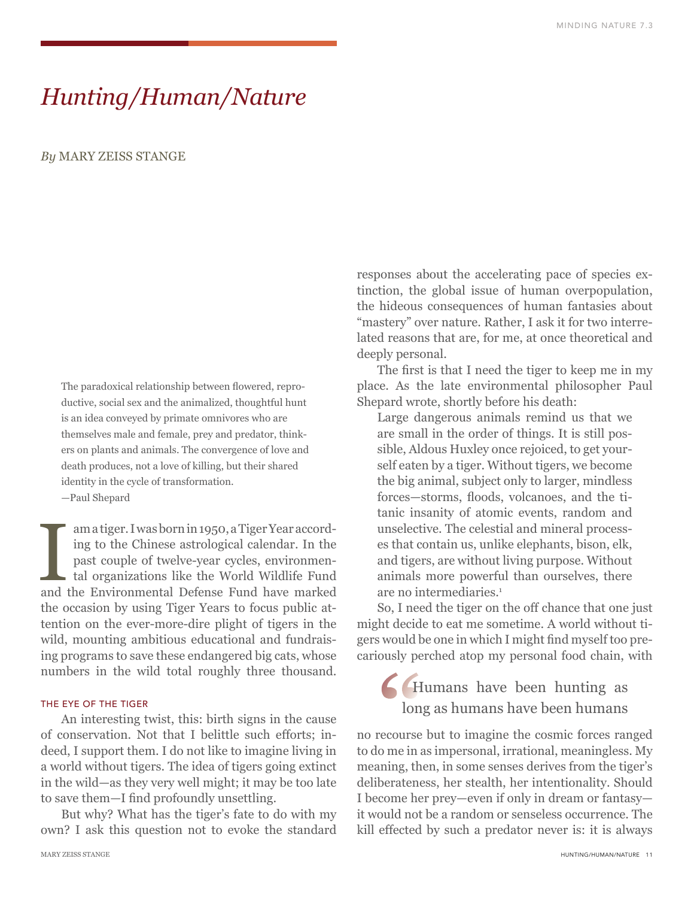# *Hunting/Human/Nature*

### *By* MARY ZEISS STANGE

The paradoxical relationship between flowered, reproductive, social sex and the animalized, thoughtful hunt is an idea conveyed by primate omnivores who are themselves male and female, prey and predator, thinkers on plants and animals. The convergence of love and death produces, not a love of killing, but their shared identity in the cycle of transformation. —Paul Shepard

Im a tiger. I was born in 1950, a Tiger Year according to the Chinese astrological calendar. In the past couple of twelve-year cycles, environmental organizations like the World Wildlife Fund and the Environmental Defense ing to the Chinese astrological calendar. In the past couple of twelve-year cycles, environmental organizations like the World Wildlife Fund and the Environmental Defense Fund have marked the occasion by using Tiger Years to focus public attention on the ever-more-dire plight of tigers in the wild, mounting ambitious educational and fundraising programs to save these endangered big cats, whose numbers in the wild total roughly three thousand.

### THE EYE OF THE TIGER

An interesting twist, this: birth signs in the cause of conservation. Not that I belittle such efforts; indeed, I support them. I do not like to imagine living in a world without tigers. The idea of tigers going extinct in the wild—as they very well might; it may be too late to save them—I find profoundly unsettling.

But why? What has the tiger's fate to do with my own? I ask this question not to evoke the standard responses about the accelerating pace of species extinction, the global issue of human overpopulation, the hideous consequences of human fantasies about "mastery" over nature. Rather, I ask it for two interrelated reasons that are, for me, at once theoretical and deeply personal.

The first is that I need the tiger to keep me in my place. As the late environmental philosopher Paul Shepard wrote, shortly before his death:

Large dangerous animals remind us that we are small in the order of things. It is still possible, Aldous Huxley once rejoiced, to get yourself eaten by a tiger. Without tigers, we become the big animal, subject only to larger, mindless forces—storms, floods, volcanoes, and the titanic insanity of atomic events, random and unselective. The celestial and mineral processes that contain us, unlike elephants, bison, elk, and tigers, are without living purpose. Without animals more powerful than ourselves, there are no intermediaries.<sup>1</sup>

So, I need the tiger on the off chance that one just might decide to eat me sometime. A world without tigers would be one in which I might find myself too precariously perched atop my personal food chain, with

## Humans have been hunting as long as humans have been humans

no recourse but to imagine the cosmic forces ranged to do me in as impersonal, irrational, meaningless. My meaning, then, in some senses derives from the tiger's deliberateness, her stealth, her intentionality. Should I become her prey—even if only in dream or fantasy it would not be a random or senseless occurrence. The kill effected by such a predator never is: it is always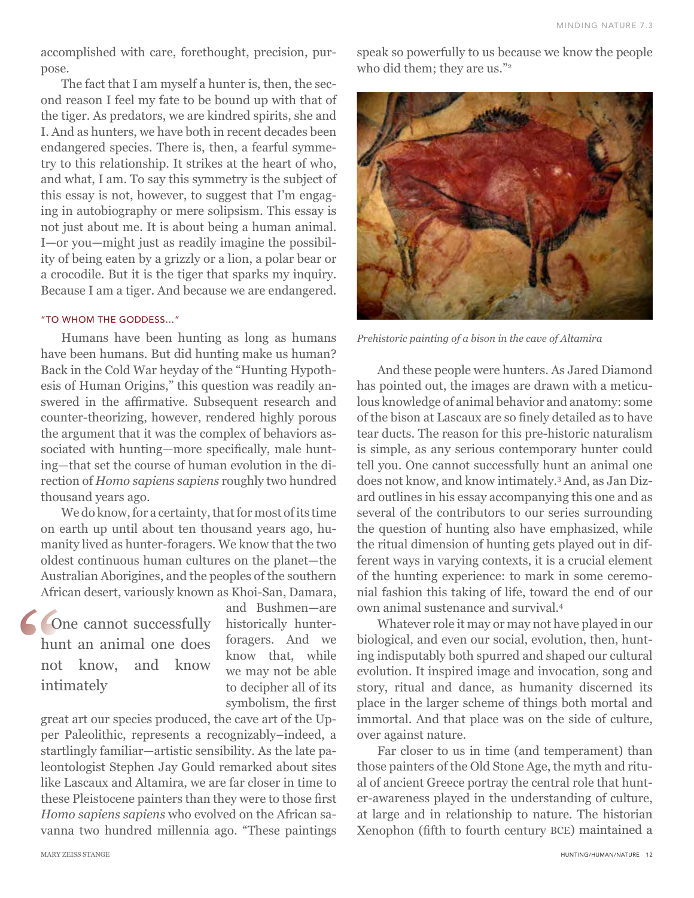accomplished with care, forethought, precision, purpose.

The fact that I am myself a hunter is, then, the second reason I feel my fate to be bound up with that of the tiger. As predators, we are kindred spirits, she and I. And as hunters, we have both in recent decades been endangered species. There is, then, a fearful symmetry to this relationship. It strikes at the heart of who, and what, I am. To say this symmetry is the subject of this essay is not, however, to suggest that I'm engaging in autobiography or mere solipsism. This essay is not just about me. It is about being a human animal. I—or you—might just as readily imagine the possibility of being eaten by a grizzly or a lion, a polar bear or a crocodile. But it is the tiger that sparks my inquiry. Because I am a tiger. And because we are endangered.

### "TO WHOM THE GODDESS…"

Humans have been hunting as long as humans have been humans. But did hunting make us human? Back in the Cold War heyday of the "Hunting Hypothesis of Human Origins," this question was readily answered in the affirmative. Subsequent research and counter-theorizing, however, rendered highly porous the argument that it was the complex of behaviors associated with hunting—more specifically, male hunting—that set the course of human evolution in the direction of *Homo sapiens sapiens* roughly two hundred thousand years ago.

We do know, for a certainty, that for most of its time on earth up until about ten thousand years ago, humanity lived as hunter-foragers. We know that the two oldest continuous human cultures on the planet—the Australian Aborigines, and the peoples of the southern African desert, variously known as Khoi-San, Damara,

**Cone cannot successfully** hunt an animal one does not know, and know intimately

and Bushmen—are historically hunterforagers. And we know that, while we may not be able to decipher all of its symbolism, the first

great art our species produced, the cave art of the Upper Paleolithic, represents a recognizably–indeed, a startlingly familiar—artistic sensibility. As the late paleontologist Stephen Jay Gould remarked about sites like Lascaux and Altamira, we are far closer in time to these Pleistocene painters than they were to those first *Homo sapiens sapiens* who evolved on the African savanna two hundred millennia ago. "These paintings speak so powerfully to us because we know the people who did them; they are us."<sup>2</sup>



*Prehistoric painting of a bison in the cave of Altamira*

And these people were hunters. As Jared Diamond has pointed out, the images are drawn with a meticulous knowledge of animal behavior and anatomy: some of the bison at Lascaux are so finely detailed as to have tear ducts. The reason for this pre-historic naturalism is simple, as any serious contemporary hunter could tell you. One cannot successfully hunt an animal one does not know, and know intimately.3 And, as Jan Dizard outlines in his essay accompanying this one and as several of the contributors to our series surrounding the question of hunting also have emphasized, while the ritual dimension of hunting gets played out in different ways in varying contexts, it is a crucial element of the hunting experience: to mark in some ceremonial fashion this taking of life, toward the end of our own animal sustenance and survival.4

Whatever role it may or may not have played in our biological, and even our social, evolution, then, hunting indisputably both spurred and shaped our cultural evolution. It inspired image and invocation, song and story, ritual and dance, as humanity discerned its place in the larger scheme of things both mortal and immortal. And that place was on the side of culture, over against nature.

Far closer to us in time (and temperament) than those painters of the Old Stone Age, the myth and ritual of ancient Greece portray the central role that hunter-awareness played in the understanding of culture, at large and in relationship to nature. The historian Xenophon (fifth to fourth century BCE) maintained a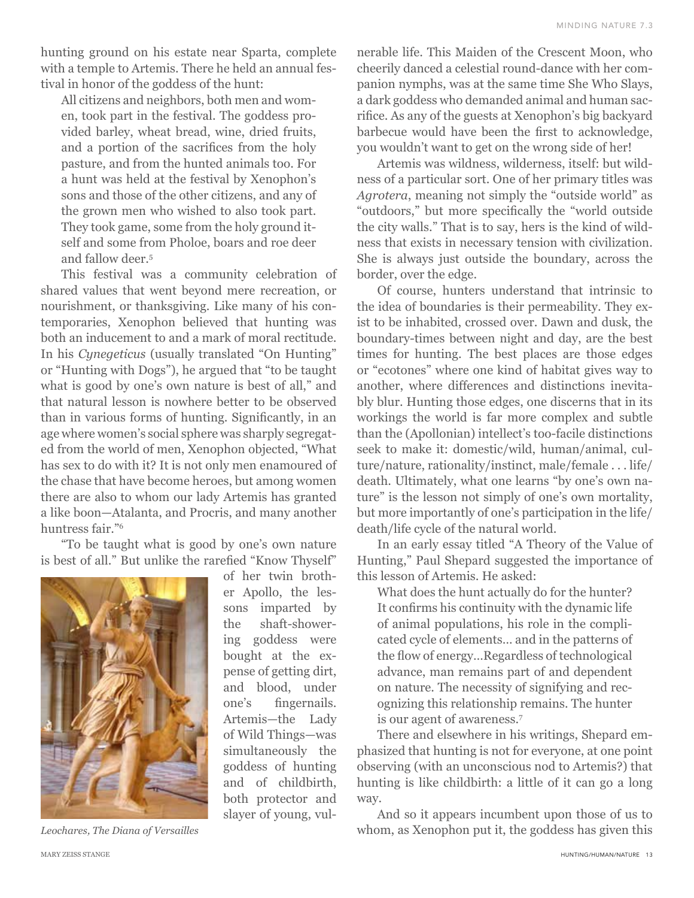hunting ground on his estate near Sparta, complete with a temple to Artemis. There he held an annual festival in honor of the goddess of the hunt:

All citizens and neighbors, both men and women, took part in the festival. The goddess provided barley, wheat bread, wine, dried fruits, and a portion of the sacrifices from the holy pasture, and from the hunted animals too. For a hunt was held at the festival by Xenophon's sons and those of the other citizens, and any of the grown men who wished to also took part. They took game, some from the holy ground itself and some from Pholoe, boars and roe deer and fallow deer.5

This festival was a community celebration of shared values that went beyond mere recreation, or nourishment, or thanksgiving. Like many of his contemporaries, Xenophon believed that hunting was both an inducement to and a mark of moral rectitude. In his *Cynegeticus* (usually translated "On Hunting" or "Hunting with Dogs"), he argued that "to be taught what is good by one's own nature is best of all," and that natural lesson is nowhere better to be observed than in various forms of hunting. Significantly, in an age where women's social sphere was sharply segregated from the world of men, Xenophon objected, "What has sex to do with it? It is not only men enamoured of the chase that have become heroes, but among women there are also to whom our lady Artemis has granted a like boon—Atalanta, and Procris, and many another huntress fair."6

"To be taught what is good by one's own nature is best of all." But unlike the rarefied "Know Thyself"



of her twin brother Apollo, the lessons imparted by the shaft-showering goddess were bought at the expense of getting dirt, and blood, under one's fingernails. Artemis—the Lady of Wild Things—was simultaneously the goddess of hunting and of childbirth, both protector and slayer of young, vul-

*Leochares, The Diana of Versailles*

nerable life. This Maiden of the Crescent Moon, who cheerily danced a celestial round-dance with her companion nymphs, was at the same time She Who Slays, a dark goddess who demanded animal and human sacrifice. As any of the guests at Xenophon's big backyard barbecue would have been the first to acknowledge, you wouldn't want to get on the wrong side of her!

Artemis was wildness, wilderness, itself: but wildness of a particular sort. One of her primary titles was *Agrotera*, meaning not simply the "outside world" as "outdoors," but more specifically the "world outside the city walls." That is to say, hers is the kind of wildness that exists in necessary tension with civilization. She is always just outside the boundary, across the border, over the edge.

Of course, hunters understand that intrinsic to the idea of boundaries is their permeability. They exist to be inhabited, crossed over. Dawn and dusk, the boundary-times between night and day, are the best times for hunting. The best places are those edges or "ecotones" where one kind of habitat gives way to another, where differences and distinctions inevitably blur. Hunting those edges, one discerns that in its workings the world is far more complex and subtle than the (Apollonian) intellect's too-facile distinctions seek to make it: domestic/wild, human/animal, culture/nature, rationality/instinct, male/female . . . life/ death. Ultimately, what one learns "by one's own nature" is the lesson not simply of one's own mortality, but more importantly of one's participation in the life/ death/life cycle of the natural world.

In an early essay titled "A Theory of the Value of Hunting," Paul Shepard suggested the importance of this lesson of Artemis. He asked:

What does the hunt actually do for the hunter? It confirms his continuity with the dynamic life of animal populations, his role in the complicated cycle of elements… and in the patterns of the flow of energy…Regardless of technological advance, man remains part of and dependent on nature. The necessity of signifying and recognizing this relationship remains. The hunter is our agent of awareness.7

There and elsewhere in his writings, Shepard emphasized that hunting is not for everyone, at one point observing (with an unconscious nod to Artemis?) that hunting is like childbirth: a little of it can go a long way.

And so it appears incumbent upon those of us to whom, as Xenophon put it, the goddess has given this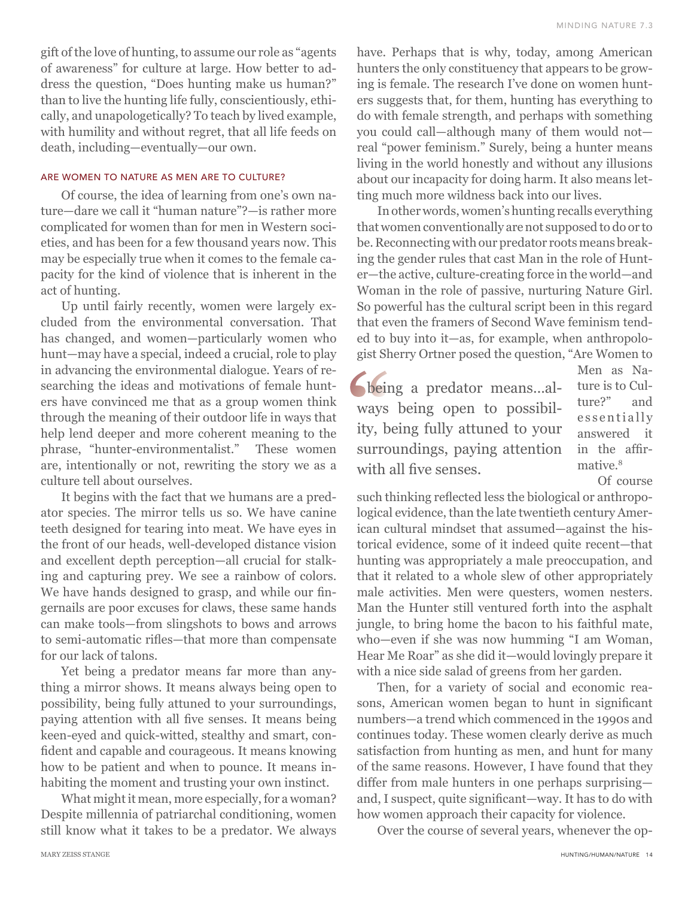gift of the love of hunting, to assume our role as "agents of awareness" for culture at large. How better to address the question, "Does hunting make us human?" than to live the hunting life fully, conscientiously, ethically, and unapologetically? To teach by lived example, with humility and without regret, that all life feeds on death, including—eventually—our own.

### ARE WOMEN TO NATURE AS MEN ARE TO CULTURE?

Of course, the idea of learning from one's own nature—dare we call it "human nature"?—is rather more complicated for women than for men in Western societies, and has been for a few thousand years now. This may be especially true when it comes to the female capacity for the kind of violence that is inherent in the act of hunting.

Up until fairly recently, women were largely excluded from the environmental conversation. That has changed, and women—particularly women who hunt—may have a special, indeed a crucial, role to play in advancing the environmental dialogue. Years of researching the ideas and motivations of female hunters have convinced me that as a group women think through the meaning of their outdoor life in ways that help lend deeper and more coherent meaning to the phrase, "hunter-environmentalist." These women are, intentionally or not, rewriting the story we as a culture tell about ourselves.

It begins with the fact that we humans are a predator species. The mirror tells us so. We have canine teeth designed for tearing into meat. We have eyes in the front of our heads, well-developed distance vision and excellent depth perception—all crucial for stalking and capturing prey. We see a rainbow of colors. We have hands designed to grasp, and while our fingernails are poor excuses for claws, these same hands can make tools—from slingshots to bows and arrows to semi-automatic rifles—that more than compensate for our lack of talons.

Yet being a predator means far more than anything a mirror shows. It means always being open to possibility, being fully attuned to your surroundings, paying attention with all five senses. It means being keen-eyed and quick-witted, stealthy and smart, confident and capable and courageous. It means knowing how to be patient and when to pounce. It means inhabiting the moment and trusting your own instinct.

What might it mean, more especially, for a woman? Despite millennia of patriarchal conditioning, women still know what it takes to be a predator. We always have. Perhaps that is why, today, among American hunters the only constituency that appears to be growing is female. The research I've done on women hunters suggests that, for them, hunting has everything to do with female strength, and perhaps with something you could call—although many of them would not real "power feminism." Surely, being a hunter means living in the world honestly and without any illusions about our incapacity for doing harm. It also means letting much more wildness back into our lives.

In other words, women's hunting recalls everything that women conventionally are not supposed to do or to be. Reconnecting with our predator roots means breaking the gender rules that cast Man in the role of Hunter—the active, culture-creating force in the world—and Woman in the role of passive, nurturing Nature Girl. So powerful has the cultural script been in this regard that even the framers of Second Wave feminism tended to buy into it—as, for example, when anthropologist Sherry Ortner posed the question, "Are Women to

being a predator means...always being open to possibility, being fully attuned to your surroundings, paying attention with all five senses.

Men as Nature is to Culture?" and essentially answered it in the affirmative.<sup>8</sup>

Of course

such thinking reflected less the biological or anthropological evidence, than the late twentieth century American cultural mindset that assumed—against the historical evidence, some of it indeed quite recent—that hunting was appropriately a male preoccupation, and that it related to a whole slew of other appropriately male activities. Men were questers, women nesters. Man the Hunter still ventured forth into the asphalt jungle, to bring home the bacon to his faithful mate, who—even if she was now humming "I am Woman, Hear Me Roar" as she did it—would lovingly prepare it with a nice side salad of greens from her garden.

Then, for a variety of social and economic reasons, American women began to hunt in significant numbers—a trend which commenced in the 1990s and continues today. These women clearly derive as much satisfaction from hunting as men, and hunt for many of the same reasons. However, I have found that they differ from male hunters in one perhaps surprising and, I suspect, quite significant—way. It has to do with how women approach their capacity for violence.

Over the course of several years, whenever the op-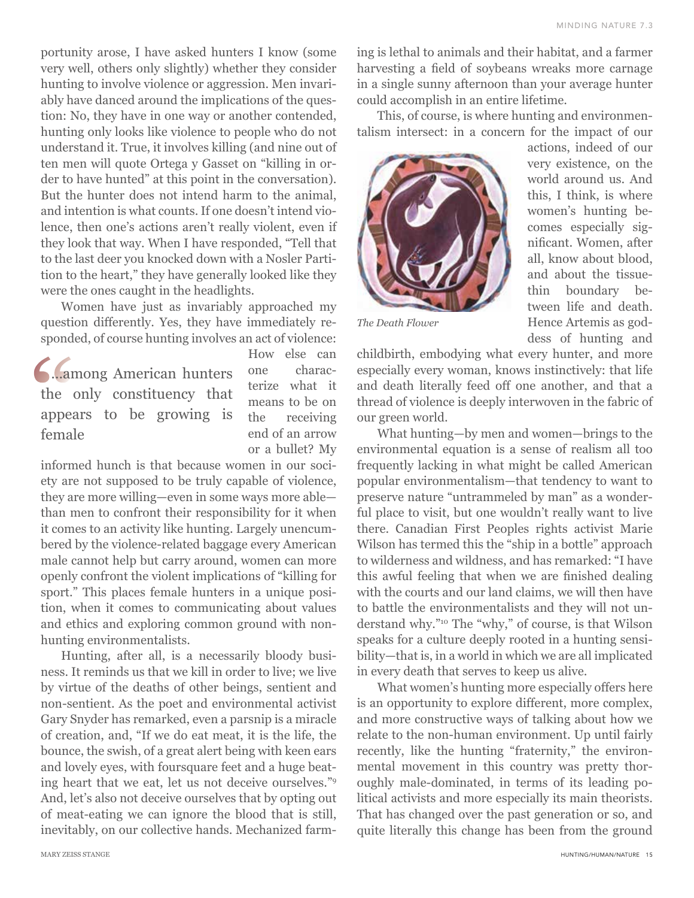MINDING NATURE 7.3

portunity arose, I have asked hunters I know (some very well, others only slightly) whether they consider hunting to involve violence or aggression. Men invariably have danced around the implications of the question: No, they have in one way or another contended, hunting only looks like violence to people who do not understand it. True, it involves killing (and nine out of ten men will quote Ortega y Gasset on "killing in order to have hunted" at this point in the conversation). But the hunter does not intend harm to the animal, and intention is what counts. If one doesn't intend violence, then one's actions aren't really violent, even if they look that way. When I have responded, "Tell that to the last deer you knocked down with a Nosler Partition to the heart," they have generally looked like they were the ones caught in the headlights.

Women have just as invariably approached my question differently. Yes, they have immediately responded, of course hunting involves an act of violence:

…among American hunters the only constituency that appears to be growing is female

How else can one characterize what it means to be on the receiving end of an arrow or a bullet? My

informed hunch is that because women in our society are not supposed to be truly capable of violence, they are more willing—even in some ways more able than men to confront their responsibility for it when it comes to an activity like hunting. Largely unencumbered by the violence-related baggage every American male cannot help but carry around, women can more openly confront the violent implications of "killing for sport." This places female hunters in a unique position, when it comes to communicating about values and ethics and exploring common ground with nonhunting environmentalists.

Hunting, after all, is a necessarily bloody business. It reminds us that we kill in order to live; we live by virtue of the deaths of other beings, sentient and non-sentient. As the poet and environmental activist Gary Snyder has remarked, even a parsnip is a miracle of creation, and, "If we do eat meat, it is the life, the bounce, the swish, of a great alert being with keen ears and lovely eyes, with foursquare feet and a huge beating heart that we eat, let us not deceive ourselves."9 And, let's also not deceive ourselves that by opting out of meat-eating we can ignore the blood that is still, inevitably, on our collective hands. Mechanized farming is lethal to animals and their habitat, and a farmer harvesting a field of soybeans wreaks more carnage in a single sunny afternoon than your average hunter could accomplish in an entire lifetime.

This, of course, is where hunting and environmentalism intersect: in a concern for the impact of our



*The Death Flower*

actions, indeed of our very existence, on the world around us. And this, I think, is where women's hunting becomes especially significant. Women, after all, know about blood, and about the tissuethin boundary between life and death. Hence Artemis as goddess of hunting and

childbirth, embodying what every hunter, and more especially every woman, knows instinctively: that life and death literally feed off one another, and that a thread of violence is deeply interwoven in the fabric of our green world.

What hunting—by men and women—brings to the environmental equation is a sense of realism all too frequently lacking in what might be called American popular environmentalism—that tendency to want to preserve nature "untrammeled by man" as a wonderful place to visit, but one wouldn't really want to live there. Canadian First Peoples rights activist Marie Wilson has termed this the "ship in a bottle" approach to wilderness and wildness, and has remarked: "I have this awful feeling that when we are finished dealing with the courts and our land claims, we will then have to battle the environmentalists and they will not understand why."10 The "why," of course, is that Wilson speaks for a culture deeply rooted in a hunting sensibility—that is, in a world in which we are all implicated in every death that serves to keep us alive.

What women's hunting more especially offers here is an opportunity to explore different, more complex, and more constructive ways of talking about how we relate to the non-human environment. Up until fairly recently, like the hunting "fraternity," the environmental movement in this country was pretty thoroughly male-dominated, in terms of its leading political activists and more especially its main theorists. That has changed over the past generation or so, and quite literally this change has been from the ground